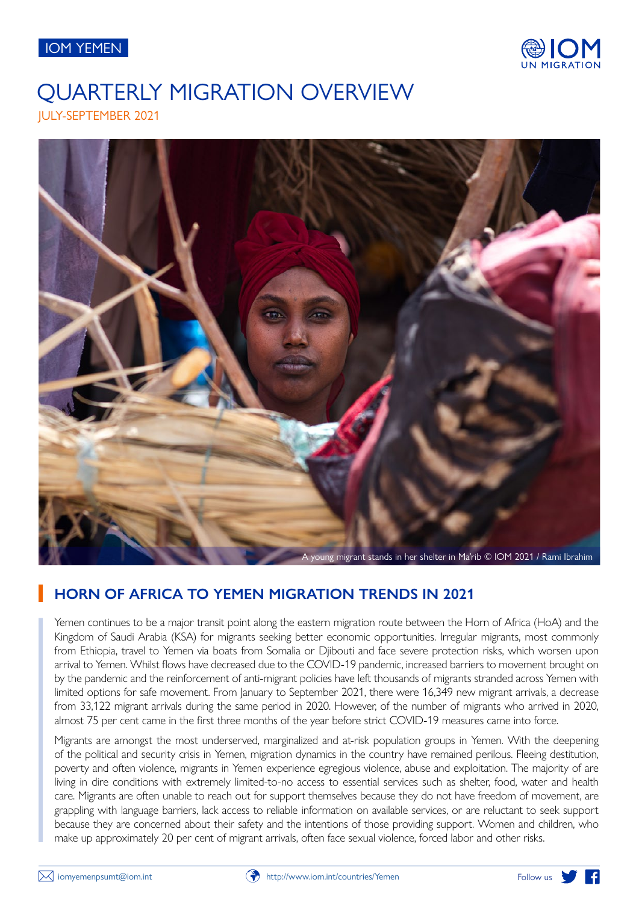



# JULY-SEPTEMBER 2021 QUARTERLY MIGRATION OVERVIEW



# **HORN OF AFRICA TO YEMEN MIGRATION TRENDS IN 2021**

Yemen continues to be a major transit point along the eastern migration route between the Horn of Africa (HoA) and the Kingdom of Saudi Arabia (KSA) for migrants seeking better economic opportunities. Irregular migrants, most commonly from Ethiopia, travel to Yemen via boats from Somalia or Djibouti and face severe protection risks, which worsen upon arrival to Yemen. Whilst flows have decreased due to the COVID-19 pandemic, increased barriers to movement brought on by the pandemic and the reinforcement of anti-migrant policies have left thousands of migrants stranded across Yemen with limited options for safe movement. From January to September 2021, there were 16,349 new migrant arrivals, a decrease from 33,122 migrant arrivals during the same period in 2020. However, of the number of migrants who arrived in 2020, almost 75 per cent came in the first three months of the year before strict COVID-19 measures came into force.

Migrants are amongst the most underserved, marginalized and at-risk population groups in Yemen. With the deepening of the political and security crisis in Yemen, migration dynamics in the country have remained perilous. Fleeing destitution, poverty and often violence, migrants in Yemen experience egregious violence, abuse and exploitation. The majority of are living in dire conditions with extremely limited-to-no access to essential services such as shelter, food, water and health care. Migrants are often unable to reach out for support themselves because they do not have freedom of movement, are grappling with language barriers, lack access to reliable information on available services, or are reluctant to seek support because they are concerned about their safety and the intentions of those providing support. Women and children, who make up approximately 20 per cent of migrant arrivals, often face sexual violence, forced labor and other risks.

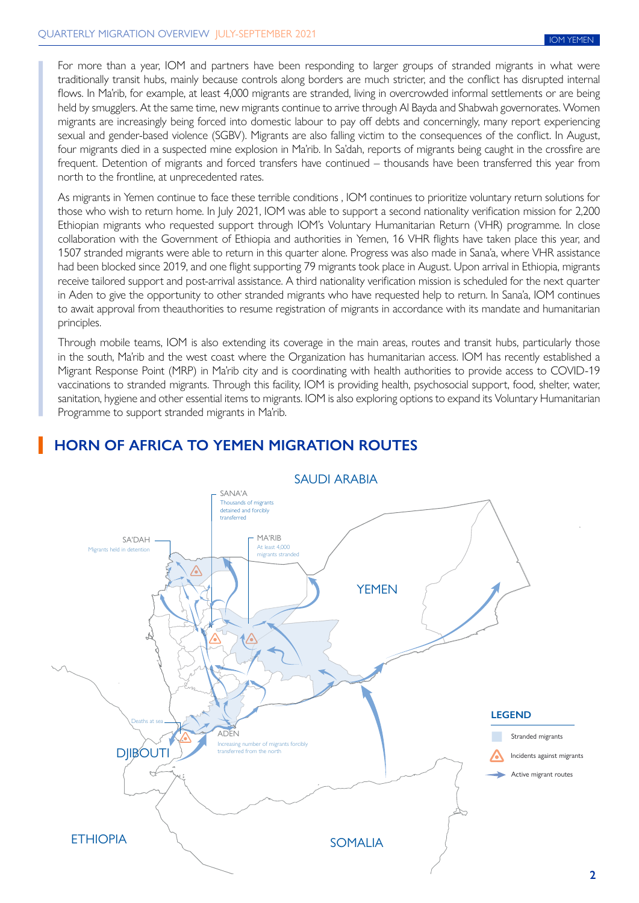For more than a year, IOM and partners have been responding to larger groups of stranded migrants in what were traditionally transit hubs, mainly because controls along borders are much stricter, and the conflict has disrupted internal flows. In Ma'rib, for example, at least 4,000 migrants are stranded, living in overcrowded informal settlements or are being held by smugglers. At the same time, new migrants continue to arrive through Al Bayda and Shabwah governorates. Women migrants are increasingly being forced into domestic labour to pay off debts and concerningly, many report experiencing sexual and gender-based violence (SGBV). Migrants are also falling victim to the consequences of the conflict. In August, four migrants died in a suspected mine explosion in Ma'rib. In Sa'dah, reports of migrants being caught in the crossfire are frequent. Detention of migrants and forced transfers have continued – thousands have been transferred this year from north to the frontline, at unprecedented rates.

As migrants in Yemen continue to face these terrible conditions , IOM continues to prioritize voluntary return solutions for those who wish to return home. In July 2021, IOM was able to support a second nationality verification mission for 2,200 Ethiopian migrants who requested support through IOM's Voluntary Humanitarian Return (VHR) programme. In close collaboration with the Government of Ethiopia and authorities in Yemen, 16 VHR flights have taken place this year, and 1507 stranded migrants were able to return in this quarter alone. Progress was also made in Sana'a, where VHR assistance had been blocked since 2019, and one flight supporting 79 migrants took place in August. Upon arrival in Ethiopia, migrants receive tailored support and post-arrival assistance. A third nationality verification mission is scheduled for the next quarter in Aden to give the opportunity to other stranded migrants who have requested help to return. In Sana'a, IOM continues to await approval from theauthorities to resume registration of migrants in accordance with its mandate and humanitarian principles.

Through mobile teams, IOM is also extending its coverage in the main areas, routes and transit hubs, particularly those in the south, Ma'rib and the west coast where the Organization has humanitarian access. IOM has recently established a Migrant Response Point (MRP) in Ma'rib city and is coordinating with health authorities to provide access to COVID-19 vaccinations to stranded migrants. Through this facility, IOM is providing health, psychosocial support, food, shelter, water, sanitation, hygiene and other essential items to migrants. IOM is also exploring options to expand its Voluntary Humanitarian Programme to support stranded migrants in Ma'rib.



## **HORN OF AFRICA TO YEMEN MIGRATION ROUTES**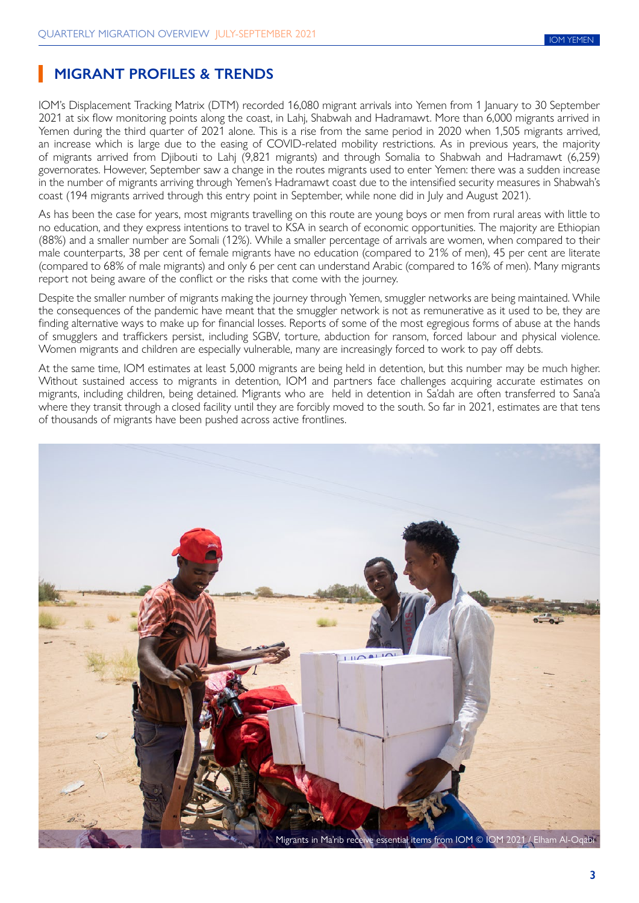# **MIGRANT PROFILES & TRENDS**

IOM's Displacement Tracking Matrix (DTM) recorded 16,080 migrant arrivals into Yemen from 1 January to 30 September 2021 at six flow monitoring points along the coast, in Lahj, Shabwah and Hadramawt. More than 6,000 migrants arrived in Yemen during the third quarter of 2021 alone. This is a rise from the same period in 2020 when 1,505 migrants arrived, an increase which is large due to the easing of COVID-related mobility restrictions. As in previous years, the majority of migrants arrived from Djibouti to Lahj (9,821 migrants) and through Somalia to Shabwah and Hadramawt (6,259) governorates. However, September saw a change in the routes migrants used to enter Yemen: there was a sudden increase in the number of migrants arriving through Yemen's Hadramawt coast due to the intensified security measures in Shabwah's coast (194 migrants arrived through this entry point in September, while none did in July and August 2021).

As has been the case for years, most migrants travelling on this route are young boys or men from rural areas with little to no education, and they express intentions to travel to KSA in search of economic opportunities. The majority are Ethiopian (88%) and a smaller number are Somali (12%). While a smaller percentage of arrivals are women, when compared to their male counterparts, 38 per cent of female migrants have no education (compared to 21% of men), 45 per cent are literate (compared to 68% of male migrants) and only 6 per cent can understand Arabic (compared to 16% of men). Many migrants report not being aware of the conflict or the risks that come with the journey.

Despite the smaller number of migrants making the journey through Yemen, smuggler networks are being maintained. While the consequences of the pandemic have meant that the smuggler network is not as remunerative as it used to be, they are finding alternative ways to make up for financial losses. Reports of some of the most egregious forms of abuse at the hands of smugglers and traffickers persist, including SGBV, torture, abduction for ransom, forced labour and physical violence. Women migrants and children are especially vulnerable, many are increasingly forced to work to pay off debts.

At the same time, IOM estimates at least 5,000 migrants are being held in detention, but this number may be much higher. Without sustained access to migrants in detention, IOM and partners face challenges acquiring accurate estimates on migrants, including children, being detained. Migrants who are held in detention in Sa'dah are often transferred to Sana'a where they transit through a closed facility until they are forcibly moved to the south. So far in 2021, estimates are that tens of thousands of migrants have been pushed across active frontlines.

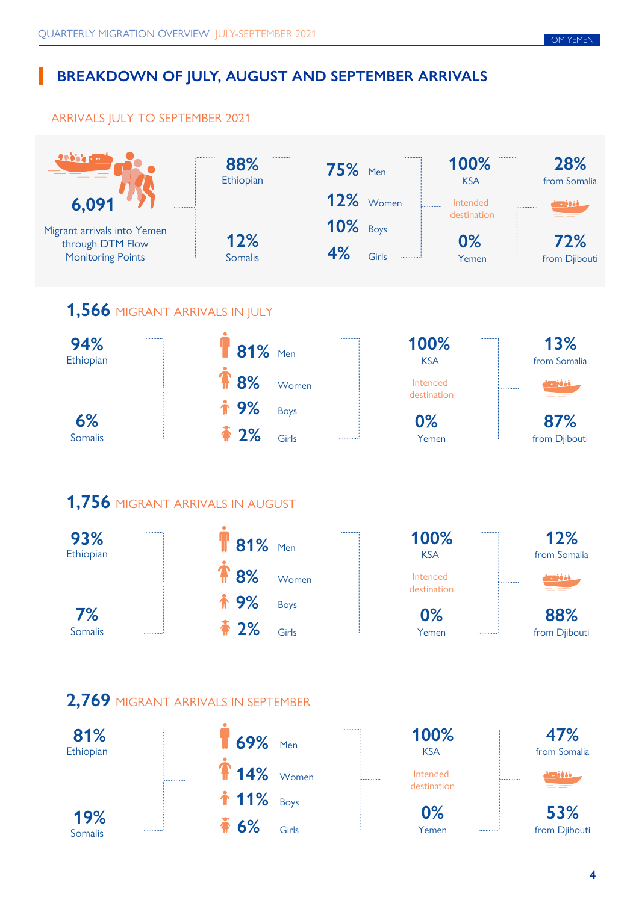# **BREAKDOWN OF JULY, AUGUST AND SEPTEMBER ARRIVALS**

## ARRIVALS JULY TO SEPTEMBER 2021

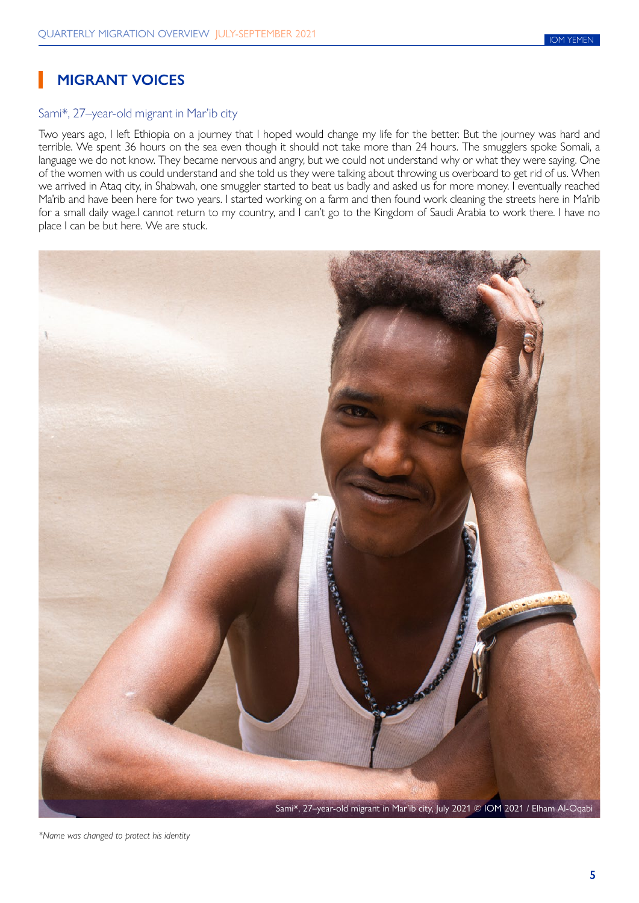# **MIGRANT VOICES**

### Sami\*, 27–year-old migrant in Mar'ib city

Two years ago, I left Ethiopia on a journey that I hoped would change my life for the better. But the journey was hard and terrible. We spent 36 hours on the sea even though it should not take more than 24 hours. The smugglers spoke Somali, a language we do not know. They became nervous and angry, but we could not understand why or what they were saying. One of the women with us could understand and she told us they were talking about throwing us overboard to get rid of us. When we arrived in Ataq city, in Shabwah, one smuggler started to beat us badly and asked us for more money. I eventually reached Ma'rib and have been here for two years. I started working on a farm and then found work cleaning the streets here in Ma'rib for a small daily wage.I cannot return to my country, and I can't go to the Kingdom of Saudi Arabia to work there. I have no place I can be but here. We are stuck.



*\*Name was changed to protect his identity*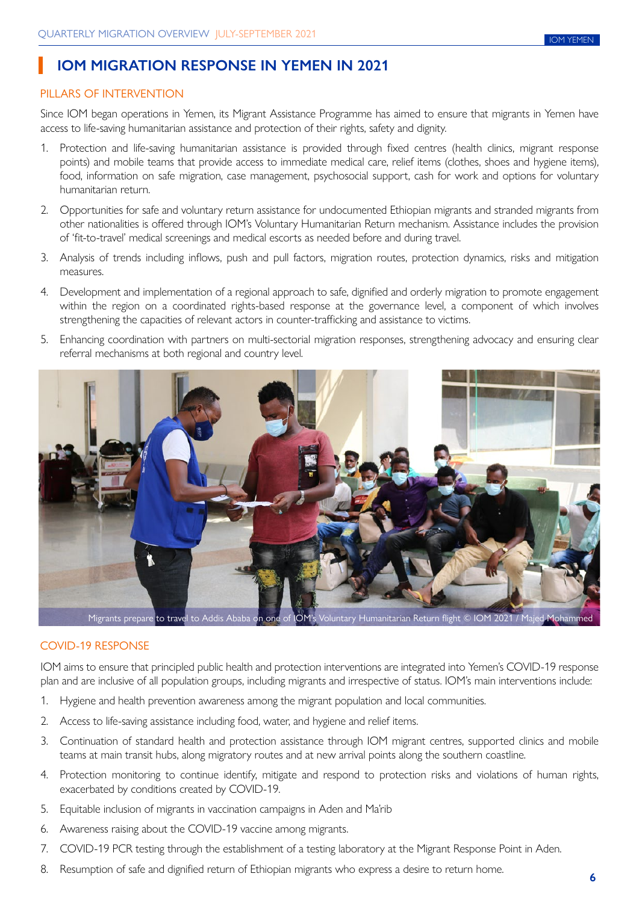## **IOM MIGRATION RESPONSE IN YEMEN IN 2021**

#### PILLARS OF INTERVENTION

Since IOM began operations in Yemen, its Migrant Assistance Programme has aimed to ensure that migrants in Yemen have access to life-saving humanitarian assistance and protection of their rights, safety and dignity.

- 1. Protection and life-saving humanitarian assistance is provided through fixed centres (health clinics, migrant response points) and mobile teams that provide access to immediate medical care, relief items (clothes, shoes and hygiene items), food, information on safe migration, case management, psychosocial support, cash for work and options for voluntary humanitarian return.
- 2. Opportunities for safe and voluntary return assistance for undocumented Ethiopian migrants and stranded migrants from other nationalities is offered through IOM's Voluntary Humanitarian Return mechanism. Assistance includes the provision of 'fit-to-travel' medical screenings and medical escorts as needed before and during travel.
- 3. Analysis of trends including inflows, push and pull factors, migration routes, protection dynamics, risks and mitigation measures.
- 4. Development and implementation of a regional approach to safe, dignified and orderly migration to promote engagement within the region on a coordinated rights-based response at the governance level, a component of which involves strengthening the capacities of relevant actors in counter-trafficking and assistance to victims.
- 5. Enhancing coordination with partners on multi-sectorial migration responses, strengthening advocacy and ensuring clear referral mechanisms at both regional and country level.



Migrants prepare to travel to Addis Ababa on one of IOM's Voluntary Humanitarian Return flight © IOM 2021 / Majed Mohamme

### COVID-19 RESPONSE

IOM aims to ensure that principled public health and protection interventions are integrated into Yemen's COVID-19 response plan and are inclusive of all population groups, including migrants and irrespective of status. IOM's main interventions include:

- 1. Hygiene and health prevention awareness among the migrant population and local communities.
- 2. Access to life-saving assistance including food, water, and hygiene and relief items.
- 3. Continuation of standard health and protection assistance through IOM migrant centres, supported clinics and mobile teams at main transit hubs, along migratory routes and at new arrival points along the southern coastline.
- 4. Protection monitoring to continue identify, mitigate and respond to protection risks and violations of human rights, exacerbated by conditions created by COVID-19.
- 5. Equitable inclusion of migrants in vaccination campaigns in Aden and Ma'rib
- 6. Awareness raising about the COVID-19 vaccine among migrants.
- 7. COVID-19 PCR testing through the establishment of a testing laboratory at the Migrant Response Point in Aden.
- 8. Resumption of safe and dignified return of Ethiopian migrants who express a desire to return home.